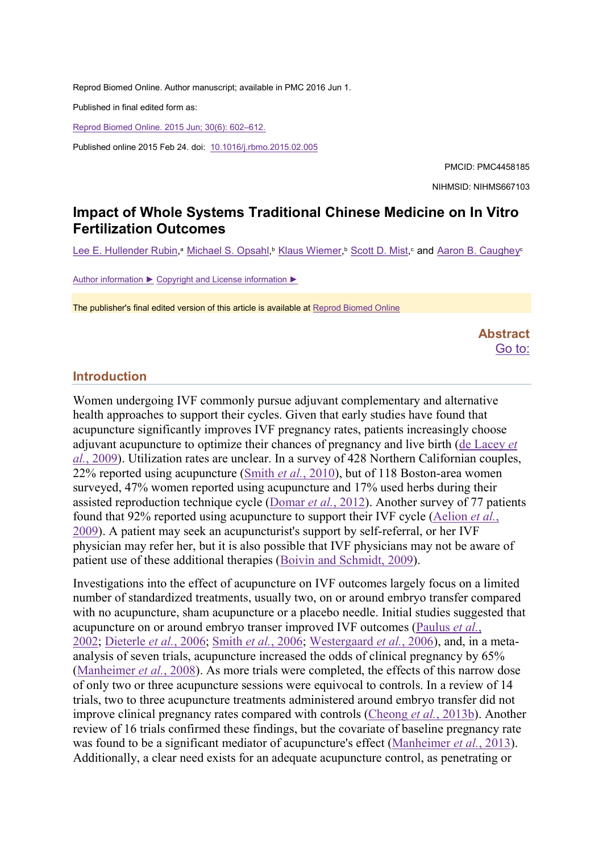Reprod Biomed Online. Author manuscript; available in PMC 2016 Jun 1.

Published in final edited form as:

Reprod Biomed Online. 2015 Jun; 30(6): 602–612.

Published online 2015 Feb 24. doi: 10.1016/j.rbmo.2015.02.005

PMCID: PMC4458185 NIHMSID: NIHMS667103

# Impact of Whole Systems Traditional Chinese Medicine on In Vitro Fertilization Outcomes

<u>Lee E. Hullender Rubin,ª Michael S. Opsahl,ʰ Klaus Wiemer,ʰ Scott D. Mist,ˤ and Aaron B. Caughey</u>°

Author information ► Copyright and License information ►

The publisher's final edited version of this article is available at Reprod Biomed Online

Abstract Go to:

### Introduction

Women undergoing IVF commonly pursue adjuvant complementary and alternative health approaches to support their cycles. Given that early studies have found that acupuncture significantly improves IVF pregnancy rates, patients increasingly choose adjuvant acupuncture to optimize their chances of pregnancy and live birth (de Lacey et al., 2009). Utilization rates are unclear. In a survey of 428 Northern Californian couples, 22% reported using acupuncture (Smith *et al.*, 2010), but of 118 Boston-area women surveyed, 47% women reported using acupuncture and 17% used herbs during their assisted reproduction technique cycle (Domar et al., 2012). Another survey of 77 patients found that 92% reported using acupuncture to support their IVF cycle (Aelion et al., 2009). A patient may seek an acupuncturist's support by self-referral, or her IVF physician may refer her, but it is also possible that IVF physicians may not be aware of patient use of these additional therapies (Boivin and Schmidt, 2009).

Investigations into the effect of acupuncture on IVF outcomes largely focus on a limited number of standardized treatments, usually two, on or around embryo transfer compared with no acupuncture, sham acupuncture or a placebo needle. Initial studies suggested that acupuncture on or around embryo transer improved IVF outcomes (Paulus et al., 2002; Dieterle et al., 2006; Smith et al., 2006; Westergaard et al., 2006), and, in a metaanalysis of seven trials, acupuncture increased the odds of clinical pregnancy by 65% (Manheimer *et al.*, 2008). As more trials were completed, the effects of this narrow dose of only two or three acupuncture sessions were equivocal to controls. In a review of 14 trials, two to three acupuncture treatments administered around embryo transfer did not improve clinical pregnancy rates compared with controls (Cheong *et al.*, 2013b). Another review of 16 trials confirmed these findings, but the covariate of baseline pregnancy rate was found to be a significant mediator of acupuncture's effect (Manheimer *et al.*, 2013). Additionally, a clear need exists for an adequate acupuncture control, as penetrating or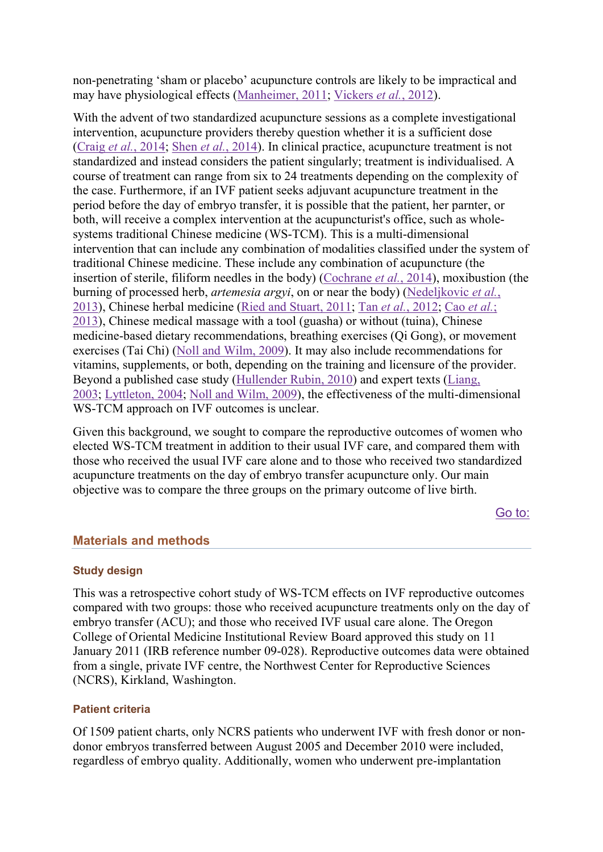non-penetrating 'sham or placebo' acupuncture controls are likely to be impractical and may have physiological effects (Manheimer, 2011; Vickers et al., 2012).

With the advent of two standardized acupuncture sessions as a complete investigational intervention, acupuncture providers thereby question whether it is a sufficient dose (Craig et al., 2014; Shen et al., 2014). In clinical practice, acupuncture treatment is not standardized and instead considers the patient singularly; treatment is individualised. A course of treatment can range from six to 24 treatments depending on the complexity of the case. Furthermore, if an IVF patient seeks adjuvant acupuncture treatment in the period before the day of embryo transfer, it is possible that the patient, her parnter, or both, will receive a complex intervention at the acupuncturist's office, such as wholesystems traditional Chinese medicine (WS-TCM). This is a multi-dimensional intervention that can include any combination of modalities classified under the system of traditional Chinese medicine. These include any combination of acupuncture (the insertion of sterile, filiform needles in the body) (Cochrane *et al.*, 2014), moxibustion (the burning of processed herb, *artemesia argyi*, on or near the body) (Nedeljkovic *et al.*, 2013), Chinese herbal medicine (Ried and Stuart, 2011; Tan et al., 2012; Cao et al.; 2013), Chinese medical massage with a tool (guasha) or without (tuina), Chinese medicine-based dietary recommendations, breathing exercises (Qi Gong), or movement exercises (Tai Chi) (Noll and Wilm, 2009). It may also include recommendations for vitamins, supplements, or both, depending on the training and licensure of the provider. Beyond a published case study (Hullender Rubin, 2010) and expert texts (Liang, 2003; Lyttleton, 2004; Noll and Wilm, 2009), the effectiveness of the multi-dimensional WS-TCM approach on IVF outcomes is unclear.

Given this background, we sought to compare the reproductive outcomes of women who elected WS-TCM treatment in addition to their usual IVF care, and compared them with those who received the usual IVF care alone and to those who received two standardized acupuncture treatments on the day of embryo transfer acupuncture only. Our main objective was to compare the three groups on the primary outcome of live birth.

Go to:

# Materials and methods

### Study design

This was a retrospective cohort study of WS-TCM effects on IVF reproductive outcomes compared with two groups: those who received acupuncture treatments only on the day of embryo transfer (ACU); and those who received IVF usual care alone. The Oregon College of Oriental Medicine Institutional Review Board approved this study on 11 January 2011 (IRB reference number 09-028). Reproductive outcomes data were obtained from a single, private IVF centre, the Northwest Center for Reproductive Sciences (NCRS), Kirkland, Washington.

### Patient criteria

Of 1509 patient charts, only NCRS patients who underwent IVF with fresh donor or nondonor embryos transferred between August 2005 and December 2010 were included, regardless of embryo quality. Additionally, women who underwent pre-implantation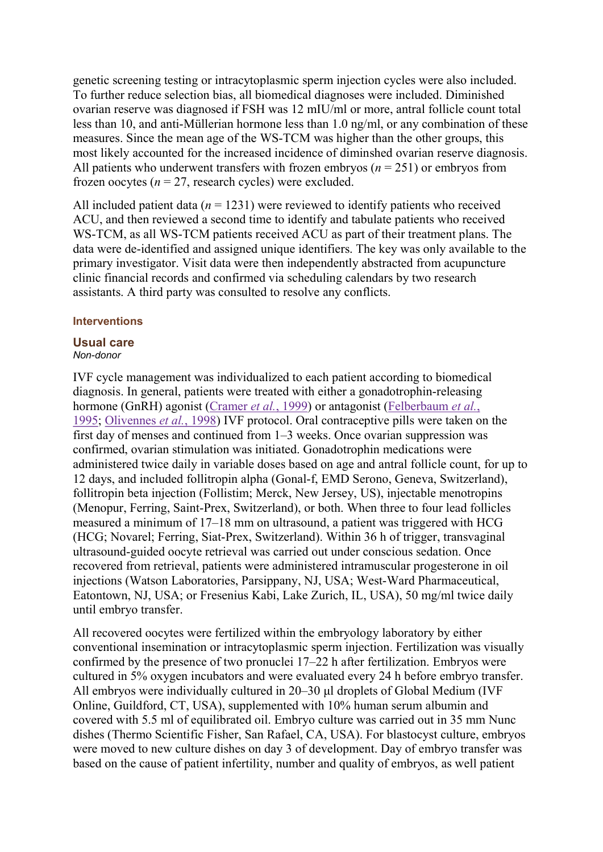genetic screening testing or intracytoplasmic sperm injection cycles were also included. To further reduce selection bias, all biomedical diagnoses were included. Diminished ovarian reserve was diagnosed if FSH was 12 mIU/ml or more, antral follicle count total less than 10, and anti-Müllerian hormone less than 1.0 ng/ml, or any combination of these measures. Since the mean age of the WS-TCM was higher than the other groups, this most likely accounted for the increased incidence of diminshed ovarian reserve diagnosis. All patients who underwent transfers with frozen embryos  $(n = 251)$  or embryos from frozen oocytes ( $n = 27$ , research cycles) were excluded.

All included patient data ( $n = 1231$ ) were reviewed to identify patients who received ACU, and then reviewed a second time to identify and tabulate patients who received WS-TCM, as all WS-TCM patients received ACU as part of their treatment plans. The data were de-identified and assigned unique identifiers. The key was only available to the primary investigator. Visit data were then independently abstracted from acupuncture clinic financial records and confirmed via scheduling calendars by two research assistants. A third party was consulted to resolve any conflicts.

### **Interventions**

#### Usual care Non-donor

IVF cycle management was individualized to each patient according to biomedical diagnosis. In general, patients were treated with either a gonadotrophin-releasing hormone (GnRH) agonist (Cramer et al., 1999) or antagonist (Felberbaum et al., 1995; Olivennes et al., 1998) IVF protocol. Oral contraceptive pills were taken on the first day of menses and continued from 1–3 weeks. Once ovarian suppression was confirmed, ovarian stimulation was initiated. Gonadotrophin medications were administered twice daily in variable doses based on age and antral follicle count, for up to 12 days, and included follitropin alpha (Gonal-f, EMD Serono, Geneva, Switzerland), follitropin beta injection (Follistim; Merck, New Jersey, US), injectable menotropins (Menopur, Ferring, Saint-Prex, Switzerland), or both. When three to four lead follicles measured a minimum of 17–18 mm on ultrasound, a patient was triggered with HCG (HCG; Novarel; Ferring, Siat-Prex, Switzerland). Within 36 h of trigger, transvaginal ultrasound-guided oocyte retrieval was carried out under conscious sedation. Once recovered from retrieval, patients were administered intramuscular progesterone in oil injections (Watson Laboratories, Parsippany, NJ, USA; West-Ward Pharmaceutical, Eatontown, NJ, USA; or Fresenius Kabi, Lake Zurich, IL, USA), 50 mg/ml twice daily until embryo transfer.

All recovered oocytes were fertilized within the embryology laboratory by either conventional insemination or intracytoplasmic sperm injection. Fertilization was visually confirmed by the presence of two pronuclei 17–22 h after fertilization. Embryos were cultured in 5% oxygen incubators and were evaluated every 24 h before embryo transfer. All embryos were individually cultured in 20–30 μl droplets of Global Medium (IVF Online, Guildford, CT, USA), supplemented with 10% human serum albumin and covered with 5.5 ml of equilibrated oil. Embryo culture was carried out in 35 mm Nunc dishes (Thermo Scientific Fisher, San Rafael, CA, USA). For blastocyst culture, embryos were moved to new culture dishes on day 3 of development. Day of embryo transfer was based on the cause of patient infertility, number and quality of embryos, as well patient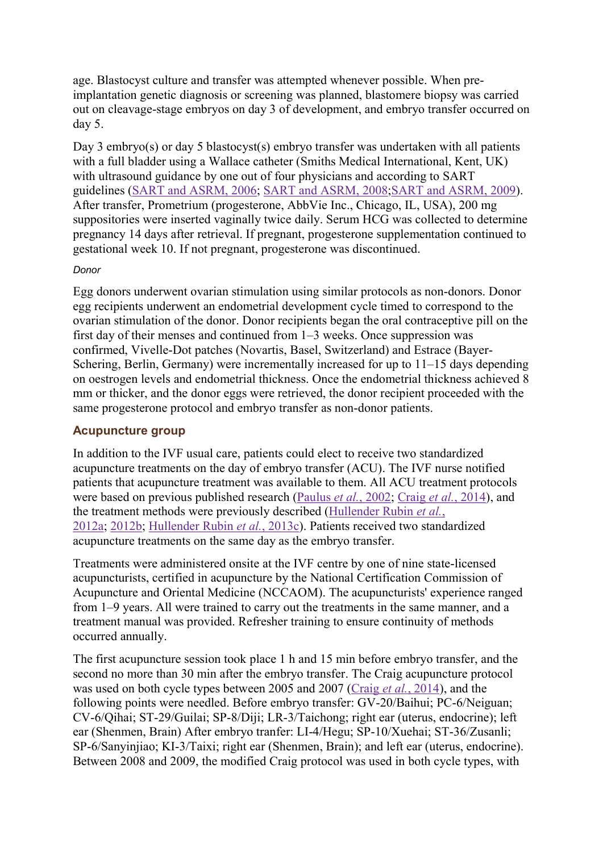age. Blastocyst culture and transfer was attempted whenever possible. When preimplantation genetic diagnosis or screening was planned, blastomere biopsy was carried out on cleavage-stage embryos on day 3 of development, and embryo transfer occurred on day 5.

Day 3 embryo(s) or day 5 blastocyst(s) embryo transfer was undertaken with all patients with a full bladder using a Wallace catheter (Smiths Medical International, Kent, UK) with ultrasound guidance by one out of four physicians and according to SART guidelines (SART and ASRM, 2006; SART and ASRM, 2008;SART and ASRM, 2009). After transfer, Prometrium (progesterone, AbbVie Inc., Chicago, IL, USA), 200 mg suppositories were inserted vaginally twice daily. Serum HCG was collected to determine pregnancy 14 days after retrieval. If pregnant, progesterone supplementation continued to gestational week 10. If not pregnant, progesterone was discontinued.

## Donor

Egg donors underwent ovarian stimulation using similar protocols as non-donors. Donor egg recipients underwent an endometrial development cycle timed to correspond to the ovarian stimulation of the donor. Donor recipients began the oral contraceptive pill on the first day of their menses and continued from 1–3 weeks. Once suppression was confirmed, Vivelle-Dot patches (Novartis, Basel, Switzerland) and Estrace (Bayer-Schering, Berlin, Germany) were incrementally increased for up to 11–15 days depending on oestrogen levels and endometrial thickness. Once the endometrial thickness achieved 8 mm or thicker, and the donor eggs were retrieved, the donor recipient proceeded with the same progesterone protocol and embryo transfer as non-donor patients.

# Acupuncture group

In addition to the IVF usual care, patients could elect to receive two standardized acupuncture treatments on the day of embryo transfer (ACU). The IVF nurse notified patients that acupuncture treatment was available to them. All ACU treatment protocols were based on previous published research (Paulus *et al.*, 2002; Craig *et al.*, 2014), and the treatment methods were previously described (Hullender Rubin et al., 2012a; 2012b; Hullender Rubin et al., 2013c). Patients received two standardized acupuncture treatments on the same day as the embryo transfer.

Treatments were administered onsite at the IVF centre by one of nine state-licensed acupuncturists, certified in acupuncture by the National Certification Commission of Acupuncture and Oriental Medicine (NCCAOM). The acupuncturists' experience ranged from 1–9 years. All were trained to carry out the treatments in the same manner, and a treatment manual was provided. Refresher training to ensure continuity of methods occurred annually.

The first acupuncture session took place 1 h and 15 min before embryo transfer, and the second no more than 30 min after the embryo transfer. The Craig acupuncture protocol was used on both cycle types between 2005 and 2007 (Craig et al., 2014), and the following points were needled. Before embryo transfer: GV-20/Baihui; PC-6/Neiguan; CV-6/Qihai; ST-29/Guilai; SP-8/Diji; LR-3/Taichong; right ear (uterus, endocrine); left ear (Shenmen, Brain) After embryo tranfer: LI-4/Hegu; SP-10/Xuehai; ST-36/Zusanli; SP-6/Sanyinjiao; KI-3/Taixi; right ear (Shenmen, Brain); and left ear (uterus, endocrine). Between 2008 and 2009, the modified Craig protocol was used in both cycle types, with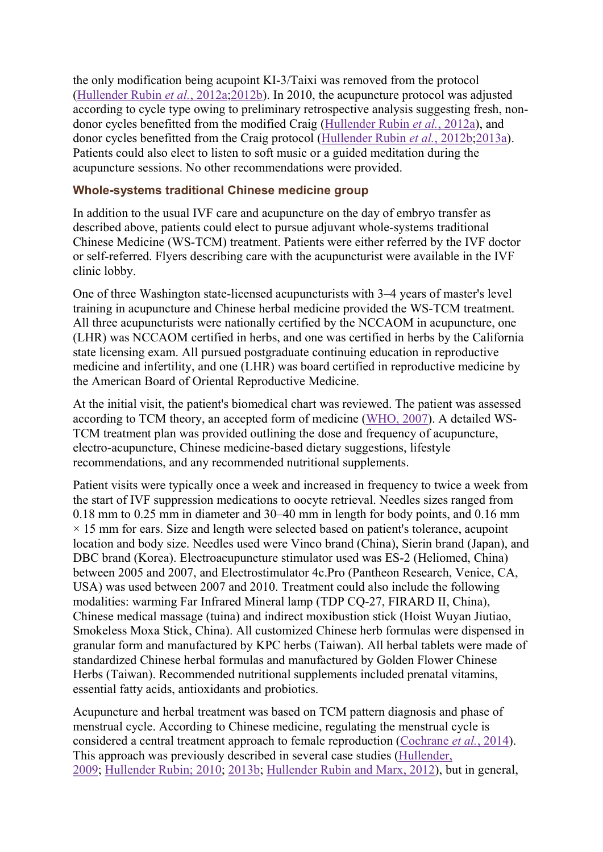the only modification being acupoint KI-3/Taixi was removed from the protocol (Hullender Rubin et al., 2012a;2012b). In 2010, the acupuncture protocol was adjusted according to cycle type owing to preliminary retrospective analysis suggesting fresh, nondonor cycles benefitted from the modified Craig (Hullender Rubin et al., 2012a), and donor cycles benefitted from the Craig protocol (Hullender Rubin et al., 2012b;2013a). Patients could also elect to listen to soft music or a guided meditation during the acupuncture sessions. No other recommendations were provided.

## Whole-systems traditional Chinese medicine group

In addition to the usual IVF care and acupuncture on the day of embryo transfer as described above, patients could elect to pursue adjuvant whole-systems traditional Chinese Medicine (WS-TCM) treatment. Patients were either referred by the IVF doctor or self-referred. Flyers describing care with the acupuncturist were available in the IVF clinic lobby.

One of three Washington state-licensed acupuncturists with 3–4 years of master's level training in acupuncture and Chinese herbal medicine provided the WS-TCM treatment. All three acupuncturists were nationally certified by the NCCAOM in acupuncture, one (LHR) was NCCAOM certified in herbs, and one was certified in herbs by the California state licensing exam. All pursued postgraduate continuing education in reproductive medicine and infertility, and one (LHR) was board certified in reproductive medicine by the American Board of Oriental Reproductive Medicine.

At the initial visit, the patient's biomedical chart was reviewed. The patient was assessed according to TCM theory, an accepted form of medicine (WHO, 2007). A detailed WS-TCM treatment plan was provided outlining the dose and frequency of acupuncture, electro-acupuncture, Chinese medicine-based dietary suggestions, lifestyle recommendations, and any recommended nutritional supplements.

Patient visits were typically once a week and increased in frequency to twice a week from the start of IVF suppression medications to oocyte retrieval. Needles sizes ranged from 0.18 mm to 0.25 mm in diameter and 30–40 mm in length for body points, and 0.16 mm  $\times$  15 mm for ears. Size and length were selected based on patient's tolerance, acupoint location and body size. Needles used were Vinco brand (China), Sierin brand (Japan), and DBC brand (Korea). Electroacupuncture stimulator used was ES-2 (Heliomed, China) between 2005 and 2007, and Electrostimulator 4c.Pro (Pantheon Research, Venice, CA, USA) was used between 2007 and 2010. Treatment could also include the following modalities: warming Far Infrared Mineral lamp (TDP CQ-27, FIRARD II, China), Chinese medical massage (tuina) and indirect moxibustion stick (Hoist Wuyan Jiutiao, Smokeless Moxa Stick, China). All customized Chinese herb formulas were dispensed in granular form and manufactured by KPC herbs (Taiwan). All herbal tablets were made of standardized Chinese herbal formulas and manufactured by Golden Flower Chinese Herbs (Taiwan). Recommended nutritional supplements included prenatal vitamins, essential fatty acids, antioxidants and probiotics.

Acupuncture and herbal treatment was based on TCM pattern diagnosis and phase of menstrual cycle. According to Chinese medicine, regulating the menstrual cycle is considered a central treatment approach to female reproduction (Cochrane et al., 2014). This approach was previously described in several case studies (Hullender, 2009; Hullender Rubin; 2010; 2013b; Hullender Rubin and Marx, 2012), but in general,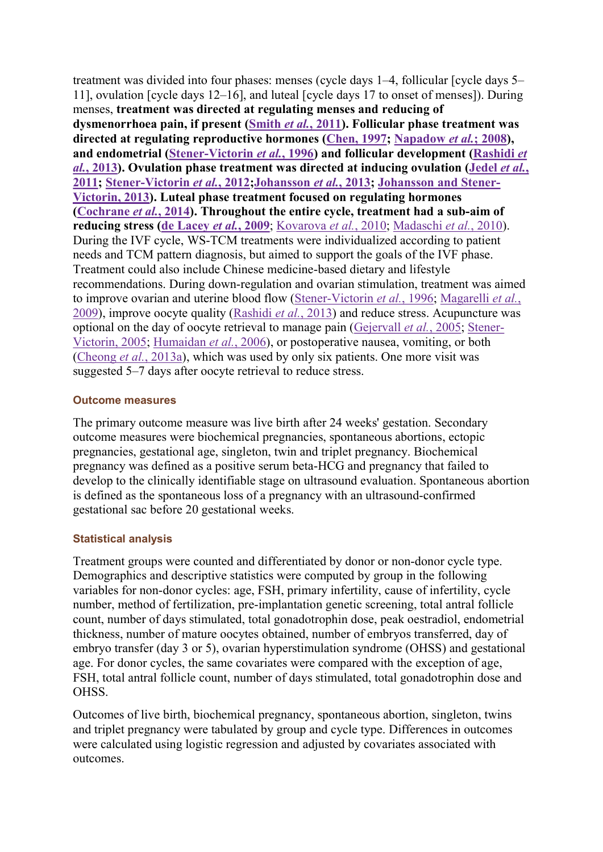treatment was divided into four phases: menses (cycle days 1–4, follicular [cycle days 5– 11], ovulation [cycle days 12–16], and luteal [cycle days 17 to onset of menses]). During menses, treatment was directed at regulating menses and reducing of dysmenorrhoea pain, if present (Smith et al., 2011). Follicular phase treatment was directed at regulating reproductive hormones (Chen, 1997; Napadow et al.; 2008), and endometrial (Stener-Victorin et al., 1996) and follicular development (Rashidi et  $al.$ , 2013). Ovulation phase treatment was directed at inducing ovulation (Jedel *et al.*, 2011; Stener-Victorin et al., 2012;Johansson et al., 2013; Johansson and Stener-Victorin, 2013). Luteal phase treatment focused on regulating hormones (Cochrane et al., 2014). Throughout the entire cycle, treatment had a sub-aim of reducing stress (de Lacey et al., 2009; Kovarova et al., 2010; Madaschi et al., 2010). During the IVF cycle, WS-TCM treatments were individualized according to patient needs and TCM pattern diagnosis, but aimed to support the goals of the IVF phase. Treatment could also include Chinese medicine-based dietary and lifestyle recommendations. During down-regulation and ovarian stimulation, treatment was aimed to improve ovarian and uterine blood flow (Stener-Victorin et al., 1996; Magarelli et al., 2009), improve oocyte quality (Rashidi *et al.*, 2013) and reduce stress. Acupuncture was optional on the day of oocyte retrieval to manage pain (Gejervall et al., 2005; Stener-Victorin, 2005; Humaidan et al., 2006), or postoperative nausea, vomiting, or both (Cheong et al., 2013a), which was used by only six patients. One more visit was suggested 5–7 days after oocyte retrieval to reduce stress.

## Outcome measures

The primary outcome measure was live birth after 24 weeks' gestation. Secondary outcome measures were biochemical pregnancies, spontaneous abortions, ectopic pregnancies, gestational age, singleton, twin and triplet pregnancy. Biochemical pregnancy was defined as a positive serum beta-HCG and pregnancy that failed to develop to the clinically identifiable stage on ultrasound evaluation. Spontaneous abortion is defined as the spontaneous loss of a pregnancy with an ultrasound-confirmed gestational sac before 20 gestational weeks.

# Statistical analysis

Treatment groups were counted and differentiated by donor or non-donor cycle type. Demographics and descriptive statistics were computed by group in the following variables for non-donor cycles: age, FSH, primary infertility, cause of infertility, cycle number, method of fertilization, pre-implantation genetic screening, total antral follicle count, number of days stimulated, total gonadotrophin dose, peak oestradiol, endometrial thickness, number of mature oocytes obtained, number of embryos transferred, day of embryo transfer (day 3 or 5), ovarian hyperstimulation syndrome (OHSS) and gestational age. For donor cycles, the same covariates were compared with the exception of age, FSH, total antral follicle count, number of days stimulated, total gonadotrophin dose and OHSS.

Outcomes of live birth, biochemical pregnancy, spontaneous abortion, singleton, twins and triplet pregnancy were tabulated by group and cycle type. Differences in outcomes were calculated using logistic regression and adjusted by covariates associated with outcomes.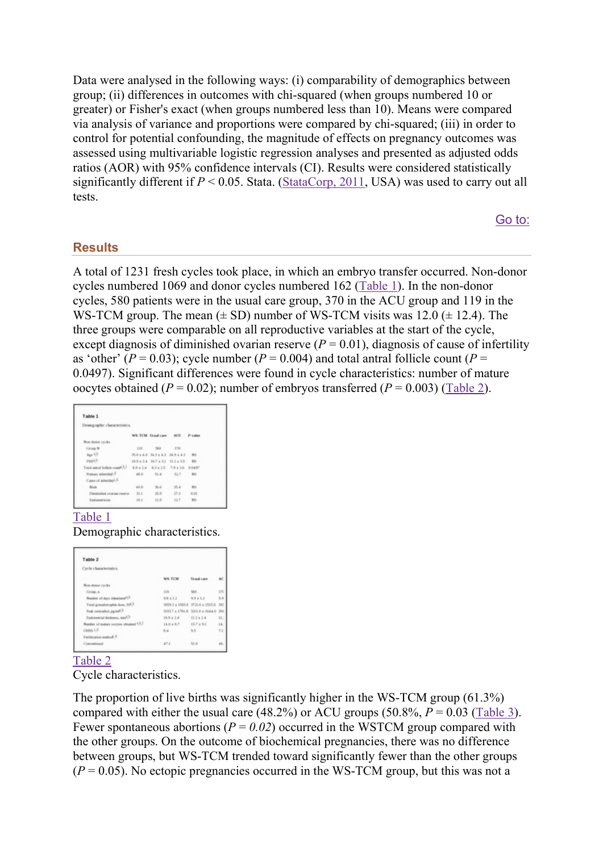Data were analysed in the following ways: (i) comparability of demographics between group; (ii) differences in outcomes with chi-squared (when groups numbered 10 or greater) or Fisher's exact (when groups numbered less than 10). Means were compared via analysis of variance and proportions were compared by chi-squared; (iii) in order to control for potential confounding, the magnitude of effects on pregnancy outcomes was assessed using multivariable logistic regression analyses and presented as adjusted odds ratios (AOR) with 95% confidence intervals (CI). Results were considered statistically significantly different if  $P \le 0.05$ . Stata. (StataCorp, 2011, USA) was used to carry out all tests.

Go to:

## **Results**

A total of 1231 fresh cycles took place, in which an embryo transfer occurred. Non-donor cycles numbered 1069 and donor cycles numbered 162 (Table 1). In the non-donor cycles, 580 patients were in the usual care group, 370 in the ACU group and 119 in the WS-TCM group. The mean  $(\pm SD)$  number of WS-TCM visits was 12.0 ( $\pm$  12.4). The three groups were comparable on all reproductive variables at the start of the cycle, except diagnosis of diminished ovarian reserve  $(P = 0.01)$ , diagnosis of cause of infertility as 'other' ( $P = 0.03$ ); cycle number ( $P = 0.004$ ) and total antral follicle count ( $P =$ 0.0497). Significant differences were found in cycle characteristics: number of mature oocytes obtained ( $P = 0.02$ ); number of embryos transferred ( $P = 0.003$ ) (Table 2).

| Table 1                                        |          |                                     |      |      |
|------------------------------------------------|----------|-------------------------------------|------|------|
| Demographic characteristics.                   |          |                                     |      |      |
|                                                |          | WS-TCM Usualcare ACU P-calur        |      |      |
| Non-done cycles                                |          |                                     |      |      |
| Group N                                        |          | 119 500 370                         |      |      |
| Apr 1.1                                        |          | 253 (4.0 34.7 (4.3 34.9 (4.3 - 30)  |      |      |
| zsail.                                         |          | 10.9 x 3.4 10.7 x 3.1 10.2 x 3.9 NS |      |      |
| Total armal bolicle count 1.1                  |          | 88+14 63+25 7.9+26 0.0497           |      |      |
| Primary inferitters. <sup>1</sup>              |          | 48.0 51.4 517 88                    |      |      |
| Cases of advertise <sup>4</sup> , <sup>6</sup> |          |                                     |      |      |
| Male                                           | 40.0     | 76.6                                | 35.4 | nes. |
| Distinished ovarian reserve-                   | 31.1     | $-30.9$                             | 27.3 | 0.06 |
| Endometricia                                   | $10.1 -$ | 11.9                                | 12.7 | 30%  |

### Table 1

Demographic characteristics.

| Table 2                                  |                         |                                     |        |
|------------------------------------------|-------------------------|-------------------------------------|--------|
| Cycle characteristics.                   |                         |                                     |        |
|                                          | <b>WS-TCM</b>           | <b>Unad cars</b>                    | NC     |
| New down cycles                          |                         |                                     |        |
| Group, at                                | 119-                    | $-580 -$                            | 37C    |
| Number of days stressland 1.2.           | $9.8 + 1.2$             | $9.9 + 1.2$                         | 5.5    |
| Total gonadoxophis doss, 1093            |                         | 9959.3 a 1503.6 3729.6 a 1515.6 390 |        |
| Peak newcastlest, p.p.m.P.3.             |                         | 0253.7 ± 1780.8 3211.0 ± 1644.0 300 |        |
| Endometrial disclosure, may 1.3          | 10:5 x 2.4              | $11.7 + 2.4$                        | H.     |
| Number of manage socyotes obtained 0.3.1 | 14.0 + 8.7 - 15.7 + 9.1 |                                     | ski    |
| CARRIS F.A.                              | 6.4                     | 9.5 .                               | $11 -$ |
| Ferdinates network                       |                         |                                     |        |
| Conventional                             | 47.1                    | 51.8                                | 46.    |

### Table 2

Cycle characteristics.

The proportion of live births was significantly higher in the WS-TCM group (61.3%) compared with either the usual care  $(48.2%)$  or ACU groups  $(50.8%, P = 0.03$  (Table 3). Fewer spontaneous abortions ( $P = 0.02$ ) occurred in the WSTCM group compared with the other groups. On the outcome of biochemical pregnancies, there was no difference between groups, but WS-TCM trended toward significantly fewer than the other groups  $(P = 0.05)$ . No ectopic pregnancies occurred in the WS-TCM group, but this was not a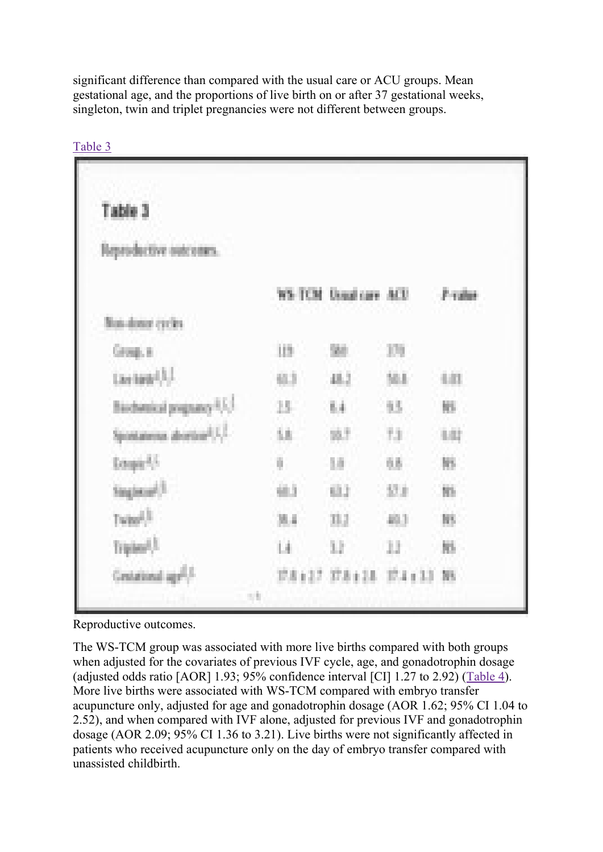significant difference than compared with the usual care or ACU groups. Mean gestational age, and the proportions of live birth on or after 37 gestational weeks, singleton, twin and triplet pregnancies were not different between groups.

| Table 3                                     |        |                       |         |         |
|---------------------------------------------|--------|-----------------------|---------|---------|
| Reproductive outcomes.                      |        |                       |         |         |
|                                             |        | WS-TCM Usualcare ACU  |         | -Praise |
| <b>Bus-done cycles</b>                      |        |                       |         |         |
| Group, a                                    | 119    | 94                    | 101     |         |
| Listen <sup>13</sup>                        | 633    | 48.2                  | 36.8    | 4.03    |
| Biobesical pognasy (C)                      | $15 -$ | 64                    | 35.     | 陈。      |
| Spontaneous abordered L.C.                  | 6h     | 放工                    | 73.     | 1.02    |
| Empir <sup>4</sup> 5                        | ö      | 38                    | 68      | 86      |
| Singlecul <sup>3</sup>                      | 组立     | 63.2                  | $-57.8$ | Nb.     |
| Twin <sup>23</sup>                          | 38.4   | 31,2                  | 49.3    | m       |
| Triples <sup>1</sup>                        | Li.    | 11                    | 11.     | 牀       |
| Centational age <sup>2</sup> . <sup>2</sup> |        | US127 US128 U.4133 NS |         |         |

Table 3

Reproductive outcomes.

The WS-TCM group was associated with more live births compared with both groups when adjusted for the covariates of previous IVF cycle, age, and gonadotrophin dosage (adjusted odds ratio [AOR] 1.93; 95% confidence interval [CI] 1.27 to 2.92) (Table 4). More live births were associated with WS-TCM compared with embryo transfer acupuncture only, adjusted for age and gonadotrophin dosage (AOR 1.62; 95% CI 1.04 to 2.52), and when compared with IVF alone, adjusted for previous IVF and gonadotrophin dosage (AOR 2.09; 95% CI 1.36 to 3.21). Live births were not significantly affected in patients who received acupuncture only on the day of embryo transfer compared with unassisted childbirth.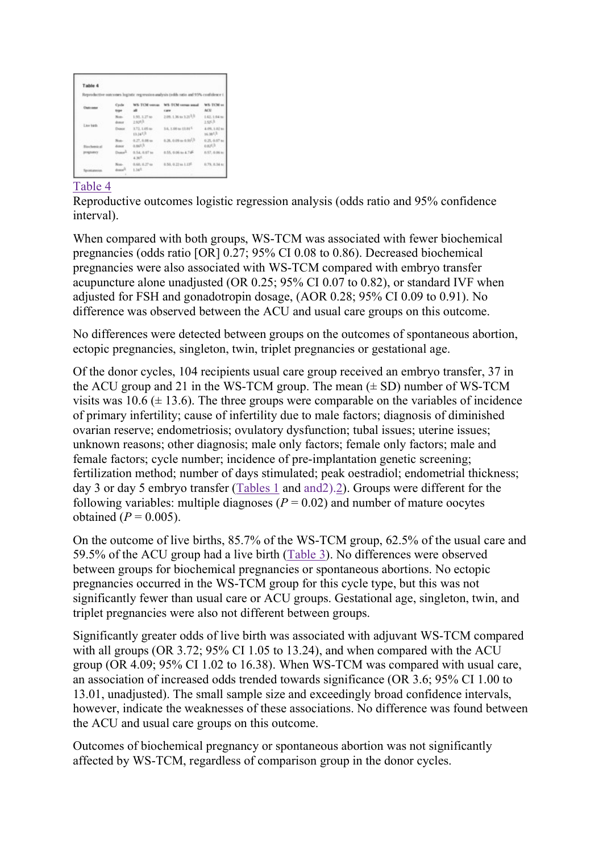| Table 4            |                              |                              |                                                                                    |                            |
|--------------------|------------------------------|------------------------------|------------------------------------------------------------------------------------|----------------------------|
|                    |                              |                              | Reproductive outcomes logistic regression analysis (odds sato and 95% confidence ( |                            |
| Datcassa           | Cycle<br>type                | <b>WS-TCM versus</b><br>ulli | WS-TCM versus mould<br>CARE                                                        | WS-TCM ve<br><b>ACE</b>    |
| Law high           | Non-<br>diamat               | 1.93.1.27 ac<br>2.6pHA       | 2.09, 1.36 to 3.21 <sup>3.31</sup>                                                 | 1.62.1.64 mi<br>1.553      |
|                    | Donor                        | 3.72, 1.05 ac<br>13.145.3    | 1.6, 1.00 to 13.01 <sup> C</sup>                                                   | 4.09, 1.52 to<br>14.385    |
| <b>Biochemical</b> | Non-<br>dictator.            | 4.27.6.06 to<br>a.sct.h.     | $0.26, 0.09$ to $0.91^{1/3}$                                                       | 0.25, 0.07 to<br>o.npl.ft. |
| programmy          | Donald                       | 0.54, 0.07 to<br>4.365       | 0.55, 0.06 to 4.74F                                                                | 8.17.0.06 to               |
| Spontaneous        | Nost-<br>drama <sup>21</sup> | 0.60, 0.37 to<br>$1.34^{2}$  | 0.50, 0.32 to 1.13 <sup>ft</sup>                                                   | 0.79, 8.54 to              |

# Table 4

Reproductive outcomes logistic regression analysis (odds ratio and 95% confidence interval).

When compared with both groups, WS-TCM was associated with fewer biochemical pregnancies (odds ratio [OR] 0.27; 95% CI 0.08 to 0.86). Decreased biochemical pregnancies were also associated with WS-TCM compared with embryo transfer acupuncture alone unadjusted (OR 0.25; 95% CI 0.07 to 0.82), or standard IVF when adjusted for FSH and gonadotropin dosage, (AOR 0.28; 95% CI 0.09 to 0.91). No difference was observed between the ACU and usual care groups on this outcome.

No differences were detected between groups on the outcomes of spontaneous abortion, ectopic pregnancies, singleton, twin, triplet pregnancies or gestational age.

Of the donor cycles, 104 recipients usual care group received an embryo transfer, 37 in the ACU group and 21 in the WS-TCM group. The mean  $(\pm SD)$  number of WS-TCM visits was  $10.6 \ (\pm 13.6)$ . The three groups were comparable on the variables of incidence of primary infertility; cause of infertility due to male factors; diagnosis of diminished ovarian reserve; endometriosis; ovulatory dysfunction; tubal issues; uterine issues; unknown reasons; other diagnosis; male only factors; female only factors; male and female factors; cycle number; incidence of pre-implantation genetic screening; fertilization method; number of days stimulated; peak oestradiol; endometrial thickness; day 3 or day 5 embryo transfer (Tables 1 and and2).2). Groups were different for the following variables: multiple diagnoses ( $P = 0.02$ ) and number of mature oocytes obtained ( $P = 0.005$ ).

On the outcome of live births, 85.7% of the WS-TCM group, 62.5% of the usual care and 59.5% of the ACU group had a live birth (Table 3). No differences were observed between groups for biochemical pregnancies or spontaneous abortions. No ectopic pregnancies occurred in the WS-TCM group for this cycle type, but this was not significantly fewer than usual care or ACU groups. Gestational age, singleton, twin, and triplet pregnancies were also not different between groups.

Significantly greater odds of live birth was associated with adjuvant WS-TCM compared with all groups (OR 3.72; 95% CI 1.05 to 13.24), and when compared with the ACU group (OR 4.09; 95% CI 1.02 to 16.38). When WS-TCM was compared with usual care, an association of increased odds trended towards significance (OR 3.6; 95% CI 1.00 to 13.01, unadjusted). The small sample size and exceedingly broad confidence intervals, however, indicate the weaknesses of these associations. No difference was found between the ACU and usual care groups on this outcome.

Outcomes of biochemical pregnancy or spontaneous abortion was not significantly affected by WS-TCM, regardless of comparison group in the donor cycles.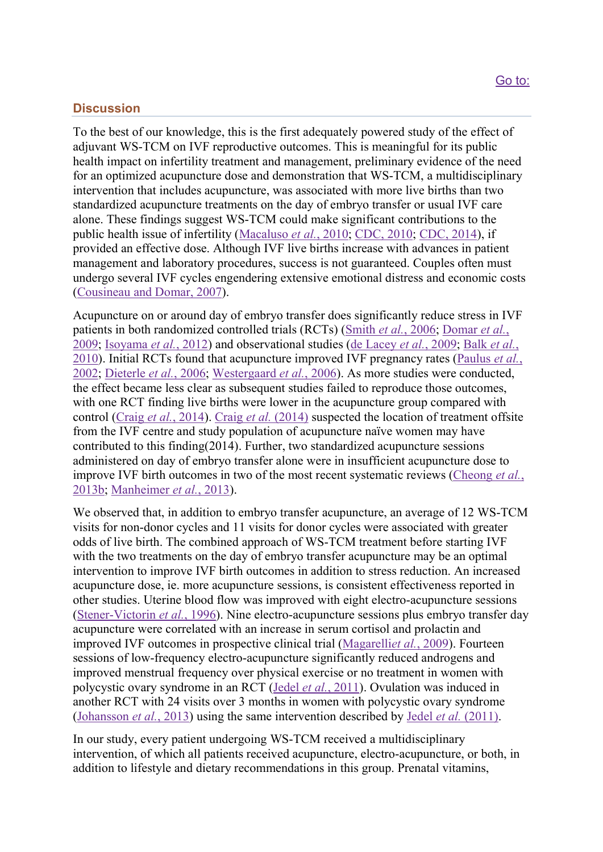# **Discussion**

To the best of our knowledge, this is the first adequately powered study of the effect of adjuvant WS-TCM on IVF reproductive outcomes. This is meaningful for its public health impact on infertility treatment and management, preliminary evidence of the need for an optimized acupuncture dose and demonstration that WS-TCM, a multidisciplinary intervention that includes acupuncture, was associated with more live births than two standardized acupuncture treatments on the day of embryo transfer or usual IVF care alone. These findings suggest WS-TCM could make significant contributions to the public health issue of infertility (Macaluso et al., 2010; CDC, 2010; CDC, 2014), if provided an effective dose. Although IVF live births increase with advances in patient management and laboratory procedures, success is not guaranteed. Couples often must undergo several IVF cycles engendering extensive emotional distress and economic costs (Cousineau and Domar, 2007).

Acupuncture on or around day of embryo transfer does significantly reduce stress in IVF patients in both randomized controlled trials (RCTs) (Smith et al., 2006; Domar et al., 2009; Isoyama et al., 2012) and observational studies (de Lacey et al., 2009; Balk et al., 2010). Initial RCTs found that acupuncture improved IVF pregnancy rates (Paulus *et al.*, 2002; Dieterle et al., 2006; Westergaard et al., 2006). As more studies were conducted, the effect became less clear as subsequent studies failed to reproduce those outcomes, with one RCT finding live births were lower in the acupuncture group compared with control (Craig et al., 2014). Craig et al. (2014) suspected the location of treatment offsite from the IVF centre and study population of acupuncture naïve women may have contributed to this finding(2014). Further, two standardized acupuncture sessions administered on day of embryo transfer alone were in insufficient acupuncture dose to improve IVF birth outcomes in two of the most recent systematic reviews (Cheong *et al.*, 2013b; Manheimer et al., 2013).

We observed that, in addition to embryo transfer acupuncture, an average of 12 WS-TCM visits for non-donor cycles and 11 visits for donor cycles were associated with greater odds of live birth. The combined approach of WS-TCM treatment before starting IVF with the two treatments on the day of embryo transfer acupuncture may be an optimal intervention to improve IVF birth outcomes in addition to stress reduction. An increased acupuncture dose, ie. more acupuncture sessions, is consistent effectiveness reported in other studies. Uterine blood flow was improved with eight electro-acupuncture sessions (Stener-Victorin et al., 1996). Nine electro-acupuncture sessions plus embryo transfer day acupuncture were correlated with an increase in serum cortisol and prolactin and improved IVF outcomes in prospective clinical trial (Magarelliet al., 2009). Fourteen sessions of low-frequency electro-acupuncture significantly reduced androgens and improved menstrual frequency over physical exercise or no treatment in women with polycystic ovary syndrome in an RCT (Jedel et al., 2011). Ovulation was induced in another RCT with 24 visits over 3 months in women with polycystic ovary syndrome (Johansson et al., 2013) using the same intervention described by Jedel et al. (2011).

In our study, every patient undergoing WS-TCM received a multidisciplinary intervention, of which all patients received acupuncture, electro-acupuncture, or both, in addition to lifestyle and dietary recommendations in this group. Prenatal vitamins,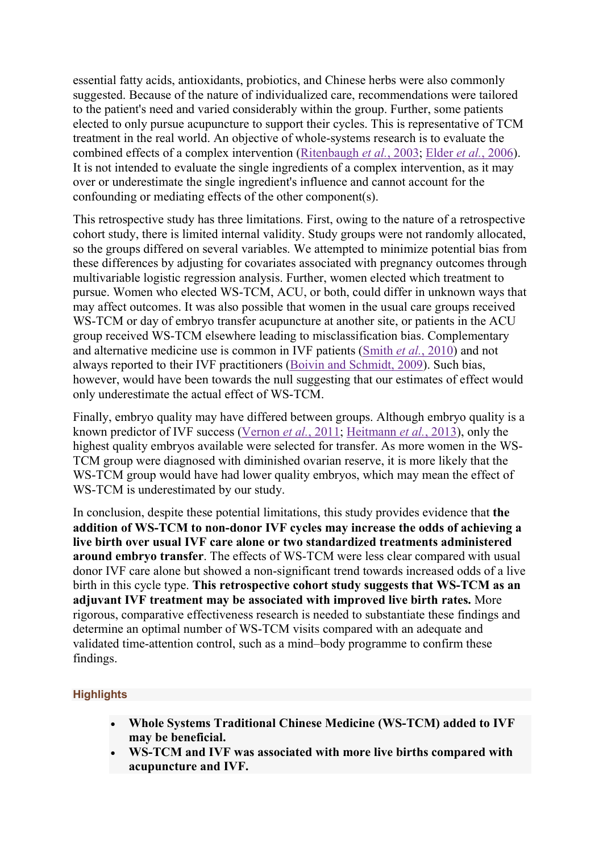essential fatty acids, antioxidants, probiotics, and Chinese herbs were also commonly suggested. Because of the nature of individualized care, recommendations were tailored to the patient's need and varied considerably within the group. Further, some patients elected to only pursue acupuncture to support their cycles. This is representative of TCM treatment in the real world. An objective of whole-systems research is to evaluate the combined effects of a complex intervention (Ritenbaugh et al., 2003; Elder et al., 2006). It is not intended to evaluate the single ingredients of a complex intervention, as it may over or underestimate the single ingredient's influence and cannot account for the confounding or mediating effects of the other component(s).

This retrospective study has three limitations. First, owing to the nature of a retrospective cohort study, there is limited internal validity. Study groups were not randomly allocated, so the groups differed on several variables. We attempted to minimize potential bias from these differences by adjusting for covariates associated with pregnancy outcomes through multivariable logistic regression analysis. Further, women elected which treatment to pursue. Women who elected WS-TCM, ACU, or both, could differ in unknown ways that may affect outcomes. It was also possible that women in the usual care groups received WS-TCM or day of embryo transfer acupuncture at another site, or patients in the ACU group received WS-TCM elsewhere leading to misclassification bias. Complementary and alternative medicine use is common in IVF patients (Smith et al., 2010) and not always reported to their IVF practitioners (Boivin and Schmidt, 2009). Such bias, however, would have been towards the null suggesting that our estimates of effect would only underestimate the actual effect of WS-TCM.

Finally, embryo quality may have differed between groups. Although embryo quality is a known predictor of IVF success (Vernon et al., 2011; Heitmann et al., 2013), only the highest quality embryos available were selected for transfer. As more women in the WS-TCM group were diagnosed with diminished ovarian reserve, it is more likely that the WS-TCM group would have had lower quality embryos, which may mean the effect of WS-TCM is underestimated by our study.

In conclusion, despite these potential limitations, this study provides evidence that the addition of WS-TCM to non-donor IVF cycles may increase the odds of achieving a live birth over usual IVF care alone or two standardized treatments administered around embryo transfer. The effects of WS-TCM were less clear compared with usual donor IVF care alone but showed a non-significant trend towards increased odds of a live birth in this cycle type. This retrospective cohort study suggests that WS-TCM as an adjuvant IVF treatment may be associated with improved live birth rates. More rigorous, comparative effectiveness research is needed to substantiate these findings and determine an optimal number of WS-TCM visits compared with an adequate and validated time-attention control, such as a mind–body programme to confirm these findings.

# **Highlights**

- Whole Systems Traditional Chinese Medicine (WS-TCM) added to IVF may be beneficial.
- WS-TCM and IVF was associated with more live births compared with acupuncture and IVF.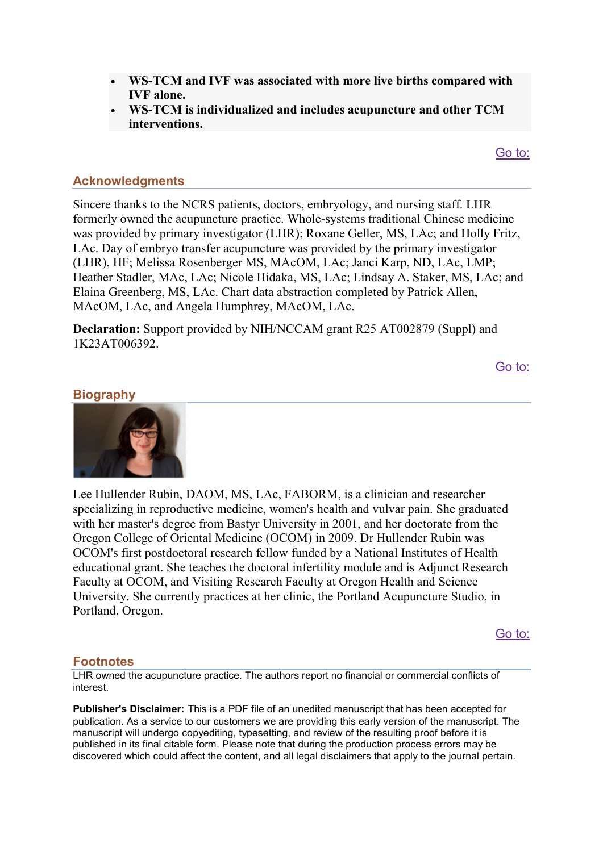- WS-TCM and IVF was associated with more live births compared with IVF alone.
- WS-TCM is individualized and includes acupuncture and other TCM interventions.

Go to:

# Acknowledgments

Sincere thanks to the NCRS patients, doctors, embryology, and nursing staff. LHR formerly owned the acupuncture practice. Whole-systems traditional Chinese medicine was provided by primary investigator (LHR); Roxane Geller, MS, LAc; and Holly Fritz, LAc. Day of embryo transfer acupuncture was provided by the primary investigator (LHR), HF; Melissa Rosenberger MS, MAcOM, LAc; Janci Karp, ND, LAc, LMP; Heather Stadler, MAc, LAc; Nicole Hidaka, MS, LAc; Lindsay A. Staker, MS, LAc; and Elaina Greenberg, MS, LAc. Chart data abstraction completed by Patrick Allen, MAcOM, LAc, and Angela Humphrey, MAcOM, LAc.

Declaration: Support provided by NIH/NCCAM grant R25 AT002879 (Suppl) and 1K23AT006392.

Go to:

# **Biography**



Lee Hullender Rubin, DAOM, MS, LAc, FABORM, is a clinician and researcher specializing in reproductive medicine, women's health and vulvar pain. She graduated with her master's degree from Bastyr University in 2001, and her doctorate from the Oregon College of Oriental Medicine (OCOM) in 2009. Dr Hullender Rubin was OCOM's first postdoctoral research fellow funded by a National Institutes of Health educational grant. She teaches the doctoral infertility module and is Adjunct Research Faculty at OCOM, and Visiting Research Faculty at Oregon Health and Science University. She currently practices at her clinic, the Portland Acupuncture Studio, in Portland, Oregon.

Go to:

### **Footnotes**

LHR owned the acupuncture practice. The authors report no financial or commercial conflicts of interest.

Publisher's Disclaimer: This is a PDF file of an unedited manuscript that has been accepted for publication. As a service to our customers we are providing this early version of the manuscript. The manuscript will undergo copyediting, typesetting, and review of the resulting proof before it is published in its final citable form. Please note that during the production process errors may be discovered which could affect the content, and all legal disclaimers that apply to the journal pertain.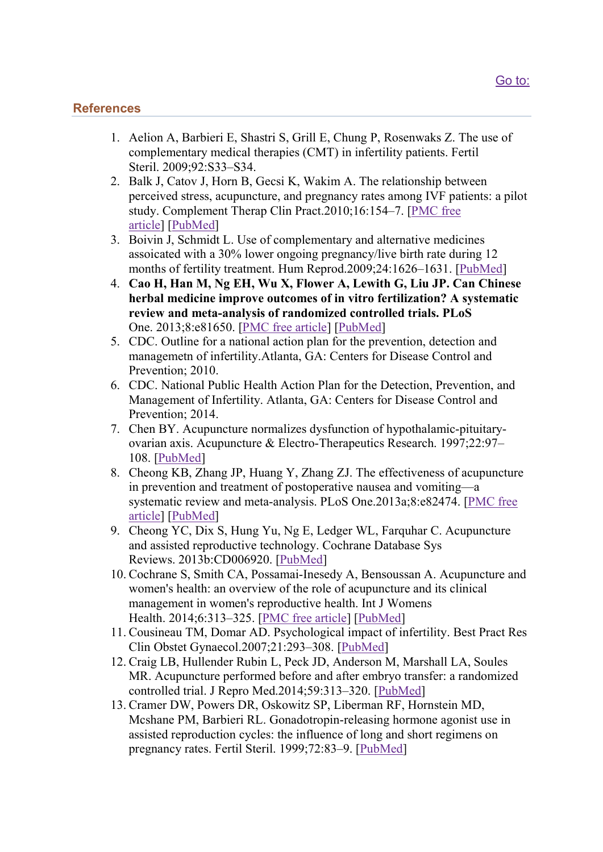# **References**

- 1. Aelion A, Barbieri E, Shastri S, Grill E, Chung P, Rosenwaks Z. The use of complementary medical therapies (CMT) in infertility patients. Fertil Steril. 2009;92:S33–S34.
- 2. Balk J, Catov J, Horn B, Gecsi K, Wakim A. The relationship between perceived stress, acupuncture, and pregnancy rates among IVF patients: a pilot study. Complement Therap Clin Pract.2010;16:154–7. [PMC free article] [PubMed]
- 3. Boivin J, Schmidt L. Use of complementary and alternative medicines assoicated with a 30% lower ongoing pregnancy/live birth rate during 12 months of fertility treatment. Hum Reprod.2009;24:1626–1631. [PubMed]
- 4. Cao H, Han M, Ng EH, Wu X, Flower A, Lewith G, Liu JP. Can Chinese herbal medicine improve outcomes of in vitro fertilization? A systematic review and meta-analysis of randomized controlled trials. PLoS One. 2013;8:e81650. [PMC free article] [PubMed]
- 5. CDC. Outline for a national action plan for the prevention, detection and managemetn of infertility.Atlanta, GA: Centers for Disease Control and Prevention; 2010.
- 6. CDC. National Public Health Action Plan for the Detection, Prevention, and Management of Infertility. Atlanta, GA: Centers for Disease Control and Prevention; 2014.
- 7. Chen BY. Acupuncture normalizes dysfunction of hypothalamic-pituitaryovarian axis. Acupuncture & Electro-Therapeutics Research. 1997;22:97– 108. [PubMed]
- 8. Cheong KB, Zhang JP, Huang Y, Zhang ZJ. The effectiveness of acupuncture in prevention and treatment of postoperative nausea and vomiting—a systematic review and meta-analysis. PLoS One.2013a;8:e82474. [PMC free article] [PubMed]
- 9. Cheong YC, Dix S, Hung Yu, Ng E, Ledger WL, Farquhar C. Acupuncture and assisted reproductive technology. Cochrane Database Sys Reviews. 2013b:CD006920. [PubMed]
- 10. Cochrane S, Smith CA, Possamai-Inesedy A, Bensoussan A. Acupuncture and women's health: an overview of the role of acupuncture and its clinical management in women's reproductive health. Int J Womens Health. 2014;6:313–325. [PMC free article] [PubMed]
- 11. Cousineau TM, Domar AD. Psychological impact of infertility. Best Pract Res Clin Obstet Gynaecol.2007;21:293–308. [PubMed]
- 12. Craig LB, Hullender Rubin L, Peck JD, Anderson M, Marshall LA, Soules MR. Acupuncture performed before and after embryo transfer: a randomized controlled trial. J Repro Med.2014;59:313–320. [PubMed]
- 13. Cramer DW, Powers DR, Oskowitz SP, Liberman RF, Hornstein MD, Mcshane PM, Barbieri RL. Gonadotropin-releasing hormone agonist use in assisted reproduction cycles: the influence of long and short regimens on pregnancy rates. Fertil Steril. 1999;72:83–9. [PubMed]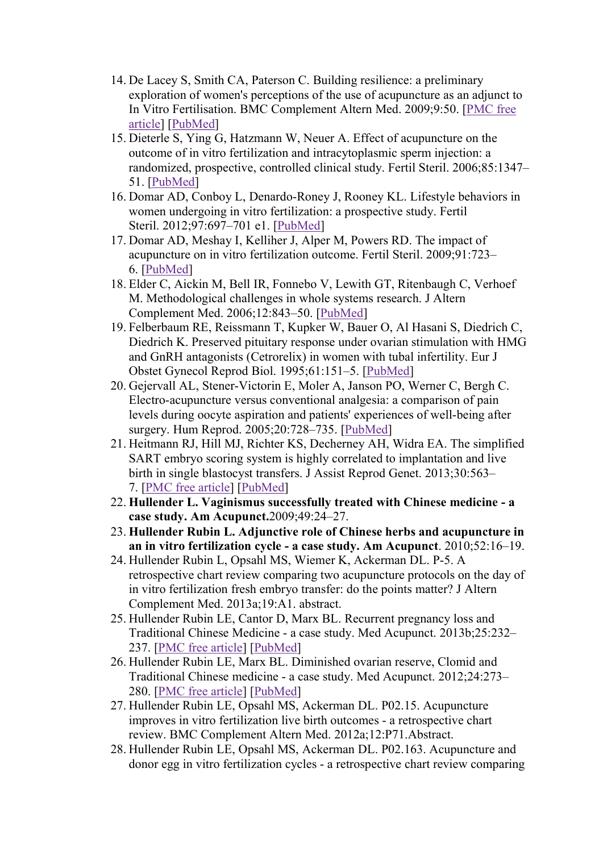- 14. De Lacey S, Smith CA, Paterson C. Building resilience: a preliminary exploration of women's perceptions of the use of acupuncture as an adjunct to In Vitro Fertilisation. BMC Complement Altern Med. 2009;9:50. [PMC free article] [PubMed]
- 15. Dieterle S, Ying G, Hatzmann W, Neuer A. Effect of acupuncture on the outcome of in vitro fertilization and intracytoplasmic sperm injection: a randomized, prospective, controlled clinical study. Fertil Steril. 2006;85:1347– 51. [PubMed]
- 16. Domar AD, Conboy L, Denardo-Roney J, Rooney KL. Lifestyle behaviors in women undergoing in vitro fertilization: a prospective study. Fertil Steril. 2012;97:697–701 e1. [PubMed]
- 17. Domar AD, Meshay I, Kelliher J, Alper M, Powers RD. The impact of acupuncture on in vitro fertilization outcome. Fertil Steril. 2009;91:723– 6. [PubMed]
- 18. Elder C, Aickin M, Bell IR, Fonnebo V, Lewith GT, Ritenbaugh C, Verhoef M. Methodological challenges in whole systems research. J Altern Complement Med. 2006;12:843–50. [PubMed]
- 19. Felberbaum RE, Reissmann T, Kupker W, Bauer O, Al Hasani S, Diedrich C, Diedrich K. Preserved pituitary response under ovarian stimulation with HMG and GnRH antagonists (Cetrorelix) in women with tubal infertility. Eur J Obstet Gynecol Reprod Biol. 1995;61:151–5. [PubMed]
- 20. Gejervall AL, Stener-Victorin E, Moler A, Janson PO, Werner C, Bergh C. Electro-acupuncture versus conventional analgesia: a comparison of pain levels during oocyte aspiration and patients' experiences of well-being after surgery. Hum Reprod. 2005;20:728–735. [PubMed]
- 21. Heitmann RJ, Hill MJ, Richter KS, Decherney AH, Widra EA. The simplified SART embryo scoring system is highly correlated to implantation and live birth in single blastocyst transfers. J Assist Reprod Genet. 2013;30:563– 7. [PMC free article] [PubMed]
- 22. Hullender L. Vaginismus successfully treated with Chinese medicine a case study. Am Acupunct.2009;49:24–27.
- 23. Hullender Rubin L. Adjunctive role of Chinese herbs and acupuncture in an in vitro fertilization cycle - a case study. Am Acupunct. 2010;52:16–19.
- 24. Hullender Rubin L, Opsahl MS, Wiemer K, Ackerman DL. P-5. A retrospective chart review comparing two acupuncture protocols on the day of in vitro fertilization fresh embryo transfer: do the points matter? J Altern Complement Med. 2013a;19:A1. abstract.
- 25. Hullender Rubin LE, Cantor D, Marx BL. Recurrent pregnancy loss and Traditional Chinese Medicine - a case study. Med Acupunct. 2013b;25:232– 237. [PMC free article] [PubMed]
- 26. Hullender Rubin LE, Marx BL. Diminished ovarian reserve, Clomid and Traditional Chinese medicine - a case study. Med Acupunct. 2012;24:273– 280. [PMC free article] [PubMed]
- 27. Hullender Rubin LE, Opsahl MS, Ackerman DL. P02.15. Acupuncture improves in vitro fertilization live birth outcomes - a retrospective chart review. BMC Complement Altern Med. 2012a;12:P71.Abstract.
- 28. Hullender Rubin LE, Opsahl MS, Ackerman DL. P02.163. Acupuncture and donor egg in vitro fertilization cycles - a retrospective chart review comparing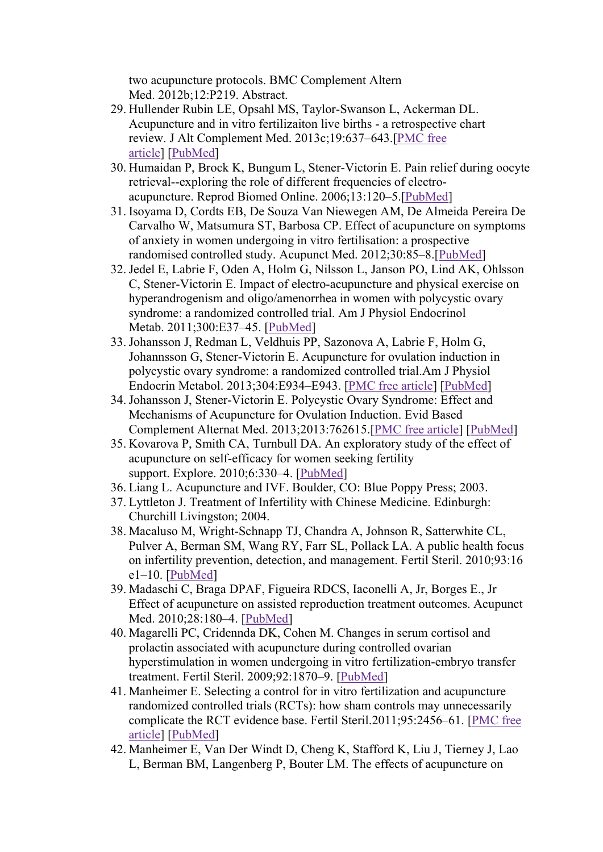two acupuncture protocols. BMC Complement Altern Med. 2012b;12:P219. Abstract.

- 29. Hullender Rubin LE, Opsahl MS, Taylor-Swanson L, Ackerman DL. Acupuncture and in vitro fertilizaiton live births - a retrospective chart review. J Alt Complement Med. 2013c;19:637–643.[PMC free article] [PubMed]
- 30. Humaidan P, Brock K, Bungum L, Stener-Victorin E. Pain relief during oocyte retrieval--exploring the role of different frequencies of electroacupuncture. Reprod Biomed Online. 2006;13:120–5.[PubMed]
- 31. Isoyama D, Cordts EB, De Souza Van Niewegen AM, De Almeida Pereira De Carvalho W, Matsumura ST, Barbosa CP. Effect of acupuncture on symptoms of anxiety in women undergoing in vitro fertilisation: a prospective randomised controlled study. Acupunct Med. 2012;30:85–8.[PubMed]
- 32.Jedel E, Labrie F, Oden A, Holm G, Nilsson L, Janson PO, Lind AK, Ohlsson C, Stener-Victorin E. Impact of electro-acupuncture and physical exercise on hyperandrogenism and oligo/amenorrhea in women with polycystic ovary syndrome: a randomized controlled trial. Am J Physiol Endocrinol Metab. 2011;300:E37–45. [PubMed]
- 33.Johansson J, Redman L, Veldhuis PP, Sazonova A, Labrie F, Holm G, Johannsson G, Stener-Victorin E. Acupuncture for ovulation induction in polycystic ovary syndrome: a randomized controlled trial.Am J Physiol Endocrin Metabol. 2013;304:E934–E943. [PMC free article] [PubMed]
- 34.Johansson J, Stener-Victorin E. Polycystic Ovary Syndrome: Effect and Mechanisms of Acupuncture for Ovulation Induction. Evid Based Complement Alternat Med. 2013;2013:762615.[PMC free article] [PubMed]
- 35. Kovarova P, Smith CA, Turnbull DA. An exploratory study of the effect of acupuncture on self-efficacy for women seeking fertility support. Explore. 2010;6:330–4. [PubMed]
- 36. Liang L. Acupuncture and IVF. Boulder, CO: Blue Poppy Press; 2003.
- 37. Lyttleton J. Treatment of Infertility with Chinese Medicine. Edinburgh: Churchill Livingston; 2004.
- 38. Macaluso M, Wright-Schnapp TJ, Chandra A, Johnson R, Satterwhite CL, Pulver A, Berman SM, Wang RY, Farr SL, Pollack LA. A public health focus on infertility prevention, detection, and management. Fertil Steril. 2010;93:16 e1–10. [PubMed]
- 39. Madaschi C, Braga DPAF, Figueira RDCS, Iaconelli A, Jr, Borges E., Jr Effect of acupuncture on assisted reproduction treatment outcomes. Acupunct Med. 2010;28:180–4. [PubMed]
- 40. Magarelli PC, Cridennda DK, Cohen M. Changes in serum cortisol and prolactin associated with acupuncture during controlled ovarian hyperstimulation in women undergoing in vitro fertilization-embryo transfer treatment. Fertil Steril. 2009;92:1870–9. [PubMed]
- 41. Manheimer E. Selecting a control for in vitro fertilization and acupuncture randomized controlled trials (RCTs): how sham controls may unnecessarily complicate the RCT evidence base. Fertil Steril.2011;95:2456–61. [PMC free article] [PubMed]
- 42. Manheimer E, Van Der Windt D, Cheng K, Stafford K, Liu J, Tierney J, Lao L, Berman BM, Langenberg P, Bouter LM. The effects of acupuncture on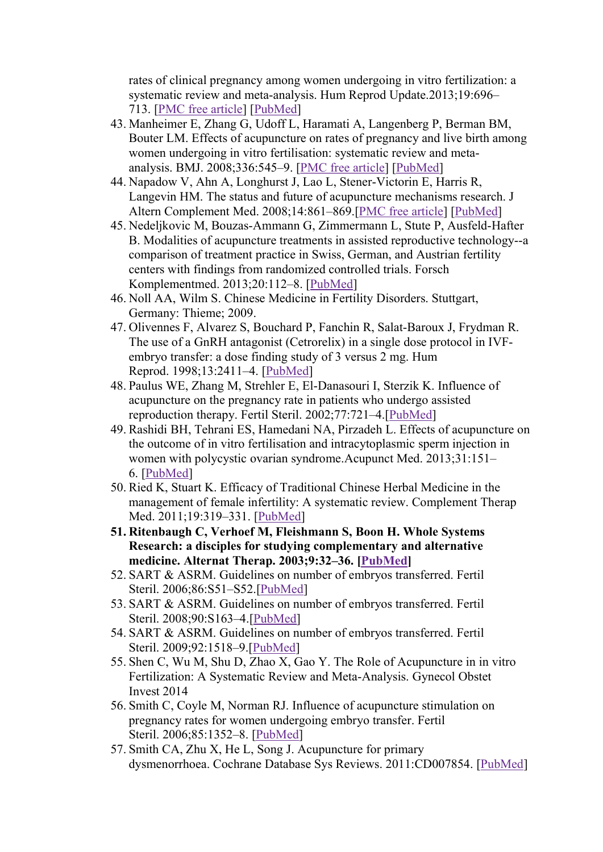rates of clinical pregnancy among women undergoing in vitro fertilization: a systematic review and meta-analysis. Hum Reprod Update.2013;19:696– 713. [PMC free article] [PubMed]

- 43. Manheimer E, Zhang G, Udoff L, Haramati A, Langenberg P, Berman BM, Bouter LM. Effects of acupuncture on rates of pregnancy and live birth among women undergoing in vitro fertilisation: systematic review and metaanalysis. BMJ. 2008;336:545–9. [PMC free article] [PubMed]
- 44. Napadow V, Ahn A, Longhurst J, Lao L, Stener-Victorin E, Harris R, Langevin HM. The status and future of acupuncture mechanisms research. J Altern Complement Med. 2008;14:861–869.[PMC free article] [PubMed]
- 45. Nedeljkovic M, Bouzas-Ammann G, Zimmermann L, Stute P, Ausfeld-Hafter B. Modalities of acupuncture treatments in assisted reproductive technology--a comparison of treatment practice in Swiss, German, and Austrian fertility centers with findings from randomized controlled trials. Forsch Komplementmed. 2013;20:112–8. [PubMed]
- 46. Noll AA, Wilm S. Chinese Medicine in Fertility Disorders. Stuttgart, Germany: Thieme; 2009.
- 47. Olivennes F, Alvarez S, Bouchard P, Fanchin R, Salat-Baroux J, Frydman R. The use of a GnRH antagonist (Cetrorelix) in a single dose protocol in IVFembryo transfer: a dose finding study of 3 versus 2 mg. Hum Reprod. 1998;13:2411–4. [PubMed]
- 48. Paulus WE, Zhang M, Strehler E, El-Danasouri I, Sterzik K. Influence of acupuncture on the pregnancy rate in patients who undergo assisted reproduction therapy. Fertil Steril. 2002;77:721–4.[PubMed]
- 49. Rashidi BH, Tehrani ES, Hamedani NA, Pirzadeh L. Effects of acupuncture on the outcome of in vitro fertilisation and intracytoplasmic sperm injection in women with polycystic ovarian syndrome.Acupunct Med. 2013;31:151– 6. [PubMed]
- 50. Ried K, Stuart K. Efficacy of Traditional Chinese Herbal Medicine in the management of female infertility: A systematic review. Complement Therap Med. 2011;19:319–331. [PubMed]
- 51. Ritenbaugh C, Verhoef M, Fleishmann S, Boon H. Whole Systems Research: a disciples for studying complementary and alternative medicine. Alternat Therap. 2003;9:32–36. [PubMed]
- 52. SART & ASRM. Guidelines on number of embryos transferred. Fertil Steril. 2006;86:S51–S52.[PubMed]
- 53. SART & ASRM. Guidelines on number of embryos transferred. Fertil Steril. 2008;90:S163–4.[PubMed]
- 54. SART & ASRM. Guidelines on number of embryos transferred. Fertil Steril. 2009;92:1518–9.[PubMed]
- 55. Shen C, Wu M, Shu D, Zhao X, Gao Y. The Role of Acupuncture in in vitro Fertilization: A Systematic Review and Meta-Analysis. Gynecol Obstet Invest 2014
- 56. Smith C, Coyle M, Norman RJ. Influence of acupuncture stimulation on pregnancy rates for women undergoing embryo transfer. Fertil Steril. 2006;85:1352–8. [PubMed]
- 57. Smith CA, Zhu X, He L, Song J. Acupuncture for primary dysmenorrhoea. Cochrane Database Sys Reviews. 2011:CD007854. [PubMed]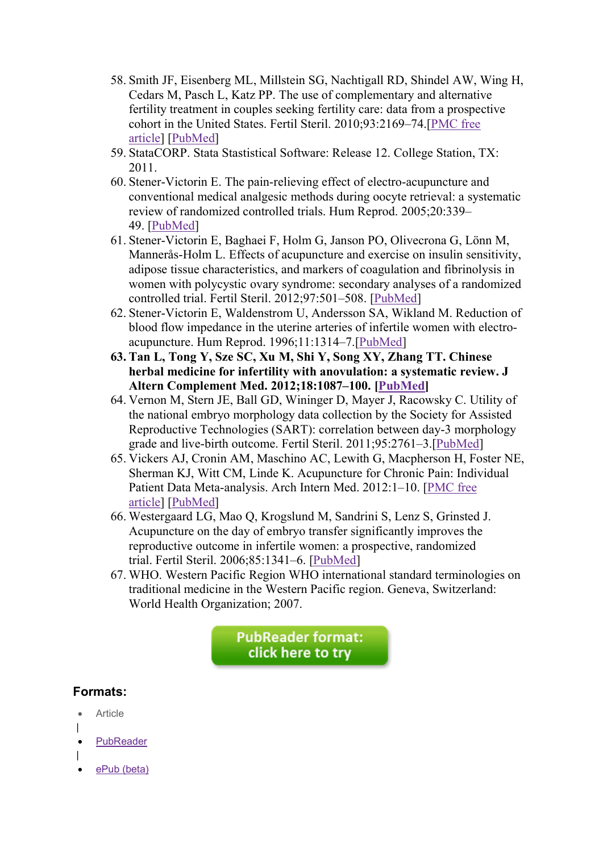- 58. Smith JF, Eisenberg ML, Millstein SG, Nachtigall RD, Shindel AW, Wing H, Cedars M, Pasch L, Katz PP. The use of complementary and alternative fertility treatment in couples seeking fertility care: data from a prospective cohort in the United States. Fertil Steril. 2010;93:2169–74.[PMC free article] [PubMed]
- 59. StataCORP. Stata Stastistical Software: Release 12. College Station, TX: 2011.
- 60. Stener-Victorin E. The pain-relieving effect of electro-acupuncture and conventional medical analgesic methods during oocyte retrieval: a systematic review of randomized controlled trials. Hum Reprod. 2005;20:339– 49. [PubMed]
- 61. Stener-Victorin E, Baghaei F, Holm G, Janson PO, Olivecrona G, Lönn M, Mannerås-Holm L. Effects of acupuncture and exercise on insulin sensitivity, adipose tissue characteristics, and markers of coagulation and fibrinolysis in women with polycystic ovary syndrome: secondary analyses of a randomized controlled trial. Fertil Steril. 2012;97:501–508. [PubMed]
- 62. Stener-Victorin E, Waldenstrom U, Andersson SA, Wikland M. Reduction of blood flow impedance in the uterine arteries of infertile women with electroacupuncture. Hum Reprod. 1996;11:1314–7.[PubMed]
- 63. Tan L, Tong Y, Sze SC, Xu M, Shi Y, Song XY, Zhang TT. Chinese herbal medicine for infertility with anovulation: a systematic review. J Altern Complement Med. 2012;18:1087–100. [PubMed]
- 64. Vernon M, Stern JE, Ball GD, Wininger D, Mayer J, Racowsky C. Utility of the national embryo morphology data collection by the Society for Assisted Reproductive Technologies (SART): correlation between day-3 morphology grade and live-birth outcome. Fertil Steril. 2011;95:2761–3.[PubMed]
- 65. Vickers AJ, Cronin AM, Maschino AC, Lewith G, Macpherson H, Foster NE, Sherman KJ, Witt CM, Linde K. Acupuncture for Chronic Pain: Individual Patient Data Meta-analysis. Arch Intern Med. 2012:1–10. [PMC free article] [PubMed]
- 66. Westergaard LG, Mao Q, Krogslund M, Sandrini S, Lenz S, Grinsted J. Acupuncture on the day of embryo transfer significantly improves the reproductive outcome in infertile women: a prospective, randomized trial. Fertil Steril. 2006;85:1341–6. [PubMed]
- 67. WHO. Western Pacific Region WHO international standard terminologies on traditional medicine in the Western Pacific region. Geneva, Switzerland: World Health Organization; 2007.

**PubReader format:** click here to try

# Formats:

- Article
- | PubReader
- |
- ePub (beta)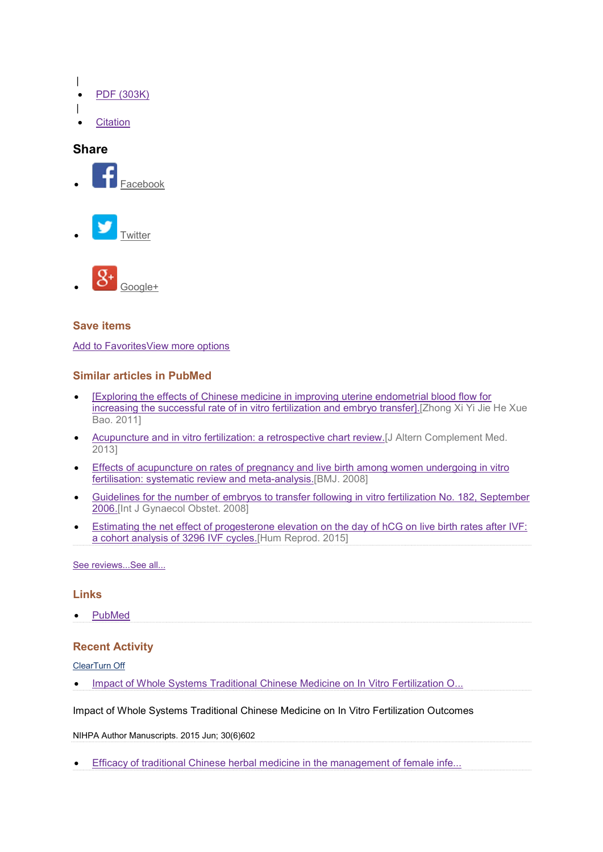- |
- PDF (303K)

**Citation** 

- |
- 

## **Share**







### Save items

Add to FavoritesView more options

### Similar articles in PubMed

- [Exploring the effects of Chinese medicine in improving uterine endometrial blood flow for increasing the successful rate of in vitro fertilization and embryo transfer].[Zhong Xi Yi Jie He Xue Bao. 2011]
- Acupuncture and in vitro fertilization: a retrospective chart review.[J Altern Complement Med. 2013]
- Effects of acupuncture on rates of pregnancy and live birth among women undergoing in vitro fertilisation: systematic review and meta-analysis.[BMJ. 2008]
- Guidelines for the number of embryos to transfer following in vitro fertilization No. 182, September 2006.[Int J Gynaecol Obstet. 2008]
- **Estimating the net effect of progesterone elevation on the day of hCG on live birth rates after IVF:** a cohort analysis of 3296 IVF cycles.[Hum Reprod. 2015]

See reviews...See all...

#### **Links**

PubMed

#### Recent Activity

#### ClearTurn Off

• Impact of Whole Systems Traditional Chinese Medicine on In Vitro Fertilization O...

Impact of Whole Systems Traditional Chinese Medicine on In Vitro Fertilization Outcomes

NIHPA Author Manuscripts. 2015 Jun; 30(6)602

Efficacy of traditional Chinese herbal medicine in the management of female infe...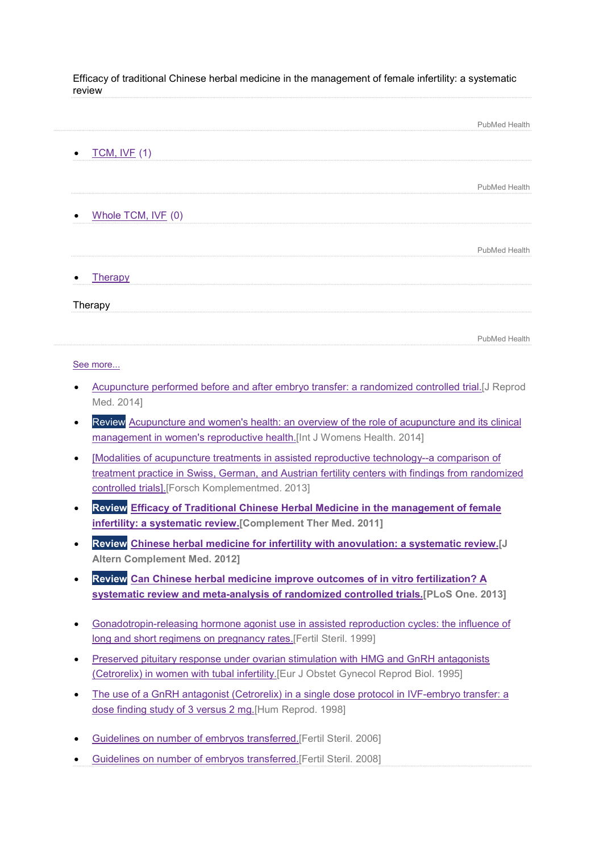Efficacy of traditional Chinese herbal medicine in the management of female infertility: a systematic review

|                          | <b>PubMed Health</b> |
|--------------------------|----------------------|
| <b>TCM, IVF (1)</b><br>٠ |                      |
|                          |                      |
|                          | PubMed Health        |
|                          |                      |
| Whole TCM, IVF (0)       |                      |
|                          |                      |
|                          | <b>PubMed Health</b> |
| <b>Therapy</b>           |                      |
| Therapy                  |                      |

See more...

 Acupuncture performed before and after embryo transfer: a randomized controlled trial.[J Reprod Med. 2014]

PubMed Health

- Review Acupuncture and women's health: an overview of the role of acupuncture and its clinical management in women's reproductive health.[Int J Womens Health. 2014]
- [Modalities of acupuncture treatments in assisted reproductive technology--a comparison of treatment practice in Swiss, German, and Austrian fertility centers with findings from randomized controlled trials].[Forsch Komplementmed. 2013]
- Review Efficacy of Traditional Chinese Herbal Medicine in the management of female infertility: a systematic review.[Complement Ther Med. 2011]
- Review Chinese herbal medicine for infertility with anovulation: a systematic review.[J Altern Complement Med. 2012]
- Review Can Chinese herbal medicine improve outcomes of in vitro fertilization? A systematic review and meta-analysis of randomized controlled trials.[PLoS One. 2013]
- Gonadotropin-releasing hormone agonist use in assisted reproduction cycles: the influence of long and short regimens on pregnancy rates.[Fertil Steril. 1999]
- Preserved pituitary response under ovarian stimulation with HMG and GnRH antagonists (Cetrorelix) in women with tubal infertility.[Eur J Obstet Gynecol Reprod Biol. 1995]
- The use of a GnRH antagonist (Cetrorelix) in a single dose protocol in IVF-embryo transfer: a dose finding study of 3 versus 2 mg.[Hum Reprod. 1998]
- Guidelines on number of embryos transferred.[Fertil Steril. 2006]
- Guidelines on number of embryos transferred.[Fertil Steril. 2008]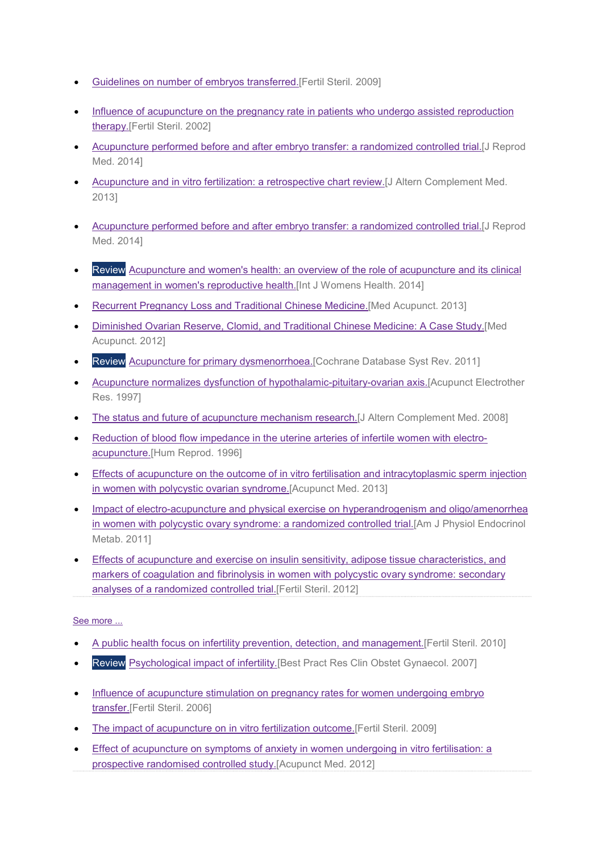- Guidelines on number of embryos transferred.[Fertil Steril. 2009]
- Influence of acupuncture on the pregnancy rate in patients who undergo assisted reproduction therapy.[Fertil Steril. 2002]
- Acupuncture performed before and after embryo transfer: a randomized controlled trial.[J Reprod Med. 2014]
- Acupuncture and in vitro fertilization: a retrospective chart review.[J Altern Complement Med. 2013]
- Acupuncture performed before and after embryo transfer: a randomized controlled trial.[J Reprod Med. 2014]
- Review Acupuncture and women's health: an overview of the role of acupuncture and its clinical management in women's reproductive health.[Int J Womens Health. 2014]
- Recurrent Pregnancy Loss and Traditional Chinese Medicine.[Med Acupunct. 2013]
- Diminished Ovarian Reserve, Clomid, and Traditional Chinese Medicine: A Case Study.[Med Acupunct. 2012]
- Review Acupuncture for primary dysmenorrhoea.[Cochrane Database Syst Rev. 2011]
- Acupuncture normalizes dysfunction of hypothalamic-pituitary-ovarian axis.[Acupunct Electrother Res. 1997]
- The status and future of acupuncture mechanism research. [J Altern Complement Med. 2008]
- Reduction of blood flow impedance in the uterine arteries of infertile women with electroacupuncture.[Hum Reprod. 1996]
- Effects of acupuncture on the outcome of in vitro fertilisation and intracytoplasmic sperm injection in women with polycystic ovarian syndrome.[Acupunct Med. 2013]
- Impact of electro-acupuncture and physical exercise on hyperandrogenism and oligo/amenorrhea in women with polycystic ovary syndrome: a randomized controlled trial.[Am J Physiol Endocrinol Metab. 2011]
- Effects of acupuncture and exercise on insulin sensitivity, adipose tissue characteristics, and markers of coagulation and fibrinolysis in women with polycystic ovary syndrome: secondary analyses of a randomized controlled trial.[Fertil Steril. 2012]

#### See more ...

- A public health focus on infertility prevention, detection, and management.[Fertil Steril. 2010]
- Review Psychological impact of infertility. [Best Pract Res Clin Obstet Gynaecol. 2007]
- Influence of acupuncture stimulation on pregnancy rates for women undergoing embryo transfer.[Fertil Steril. 2006]
- The impact of acupuncture on in vitro fertilization outcome. [Fertil Steril. 2009]
- Effect of acupuncture on symptoms of anxiety in women undergoing in vitro fertilisation: a prospective randomised controlled study.[Acupunct Med. 2012]